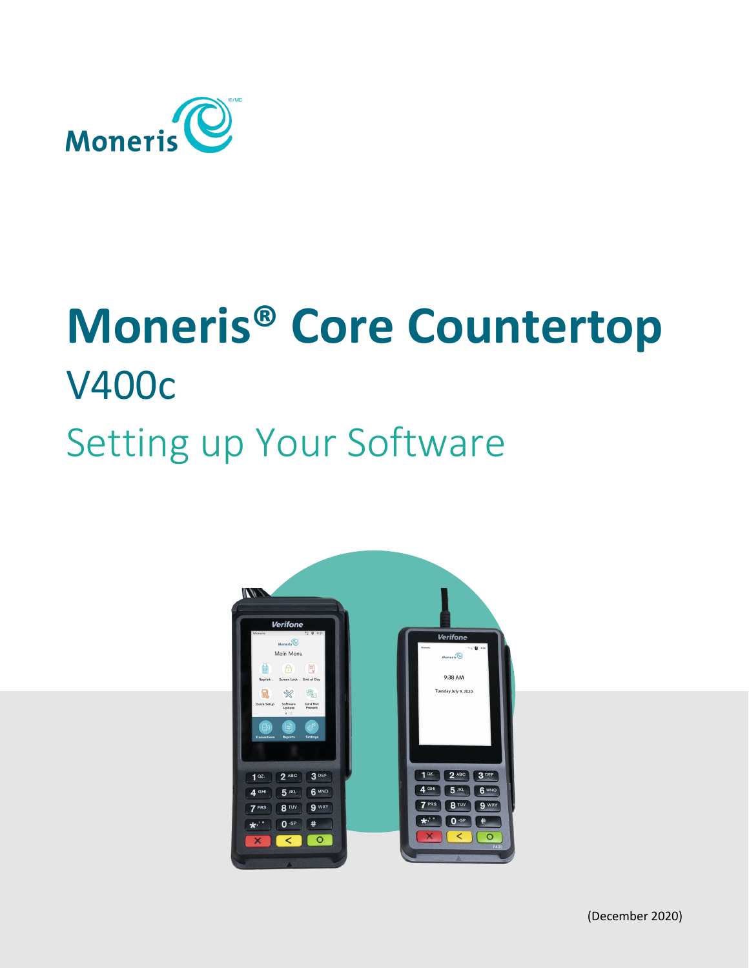

# **Moneris® Core Countertop** V400c Setting up Your Software

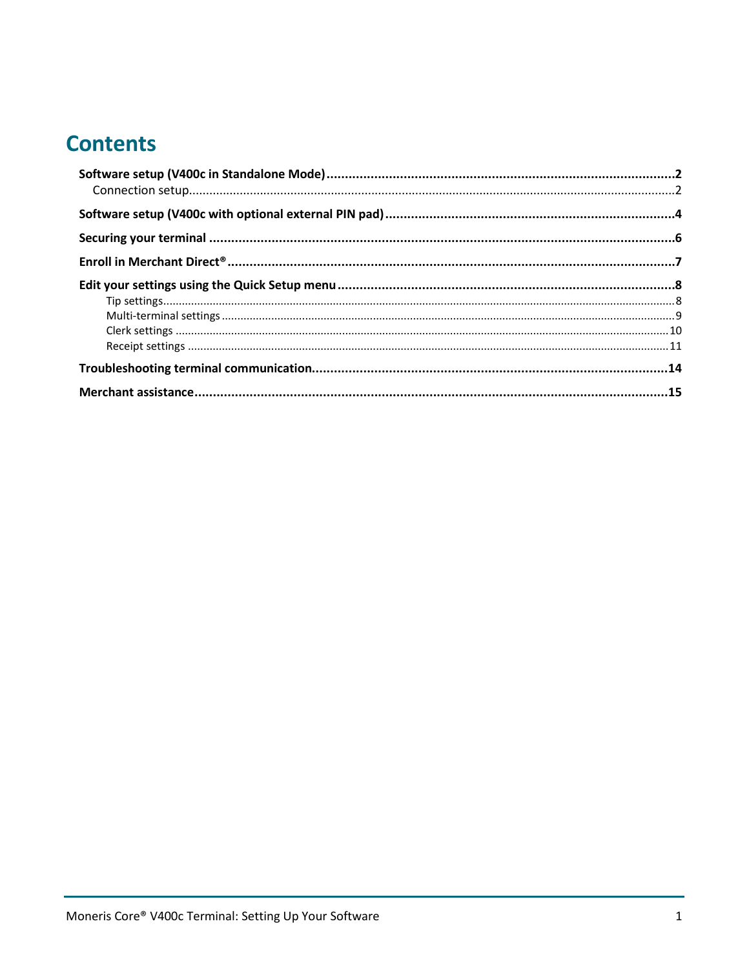## **Contents**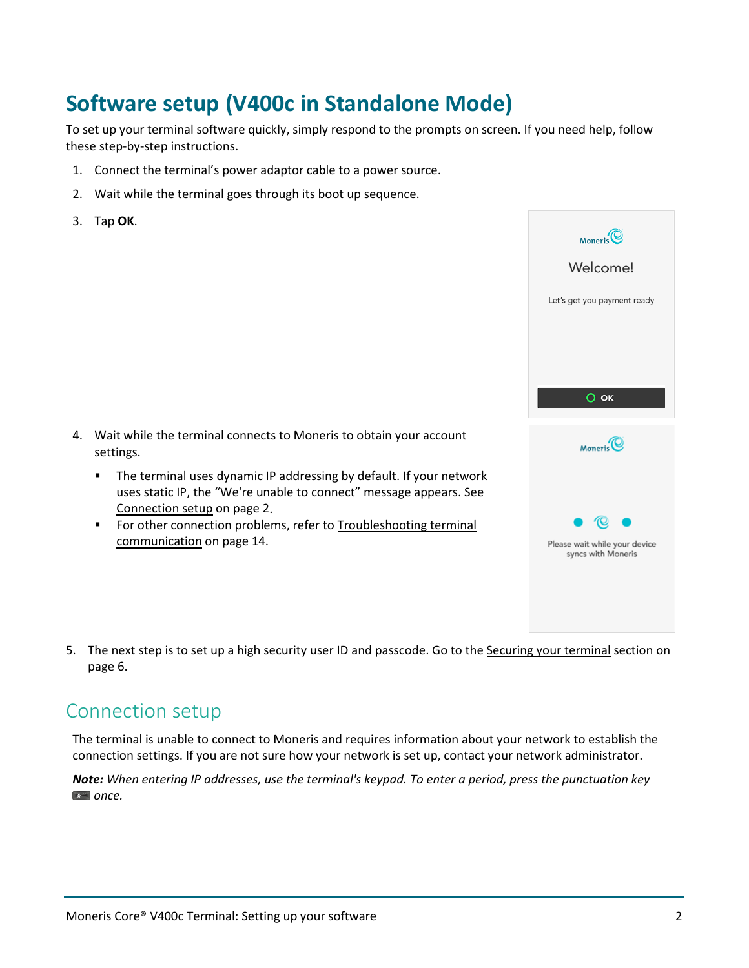# <span id="page-2-0"></span>**Software setup (V400c in Standalone Mode)**

To set up your terminal software quickly, simply respond to the prompts on screen. If you need help, follow these step-by-step instructions.

- 1. Connect the terminal's power adaptor cable to a power source.
- 2. Wait while the terminal goes through its boot up sequence.
- 3. Tap **OK**.



- **The terminal uses dynamic IP addressing by default. If your network** uses static IP, the "We're unable to connect" message appears. See [Connection setup](#page-2-1) on pag[e 2.](#page-2-1)
- **FICT** For other connection problems, refer to Troubleshooting terminal [communication](#page-14-0) on page [14.](#page-14-0)



 $Moneris$ 

Welcome!

Let's get you payment ready

5. The next step is to set up a high security user ID and passcode. Go to the [Securing your terminal](#page-4-0) section on page [6.](#page-6-0)

## <span id="page-2-1"></span>Connection setup

The terminal is unable to connect to Moneris and requires information about your network to establish the connection settings. If you are not sure how your network is set up, contact your network administrator.

*Note: When entering IP addresses, use the terminal's keypad. To enter a period, press the punctuation key*   $*$  once.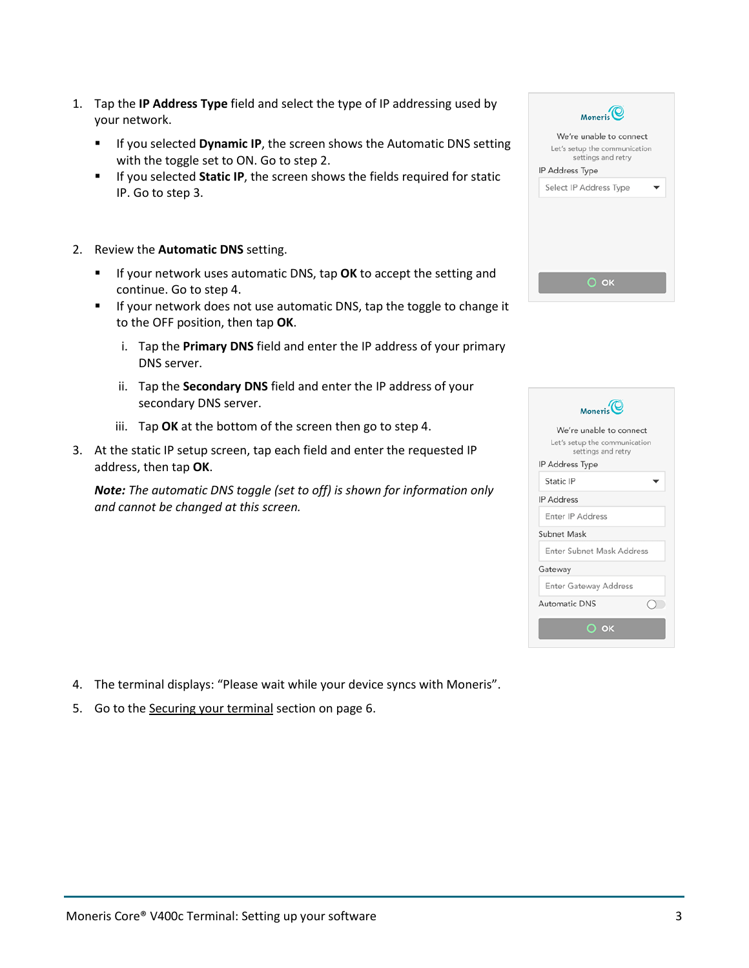- 1. Tap the **IP Address Type** field and select the type of IP addressing used by your network.
	- **IF IF you selected Dynamic IP**, the screen shows the Automatic DNS setting with the toggle set to ON. Go to step 2.
	- If you selected **Static IP**, the screen shows the fields required for static IP. Go to step 3.
- 2. Review the **Automatic DNS** setting.
	- **If your network uses automatic DNS, tap OK** to accept the setting and continue. Go to step 4.
	- **If your network does not use automatic DNS, tap the toggle to change it** to the OFF position, then tap **OK**.
		- i. Tap the **Primary DNS** field and enter the IP address of your primary DNS server.
		- ii. Tap the **Secondary DNS** field and enter the IP address of your secondary DNS server.
		- iii. Tap **OK** at the bottom of the screen then go to step 4.
- 3. At the static IP setup screen, tap each field and enter the requested IP address, then tap **OK**.

*Note: The automatic DNS toggle (set to off) is shown for information only and cannot be changed at this screen.* 

 $Moneris$ We're unable to connect Let's setup the communication settings and retry IP Address Type Select IP Address Type  $O$  ok

| Moneris <sup>(C)</sup>                              |  |
|-----------------------------------------------------|--|
| We're unable to connect                             |  |
| Let's setup the communication<br>settings and retry |  |
| IP Address Type                                     |  |
| Static IP                                           |  |
| <b>IP Address</b>                                   |  |
| Enter IP Address                                    |  |
| Subnet Mask                                         |  |
| Enter Subnet Mask Address                           |  |
| Gateway                                             |  |
| <b>Enter Gateway Address</b>                        |  |
| <b>Automatic DNS</b>                                |  |
| О ок                                                |  |
|                                                     |  |

- 4. The terminal displays: "Please wait while your device syncs with Moneris".
- 5. Go to the [Securing your terminal](#page-4-0) section on page [6.](#page-6-0)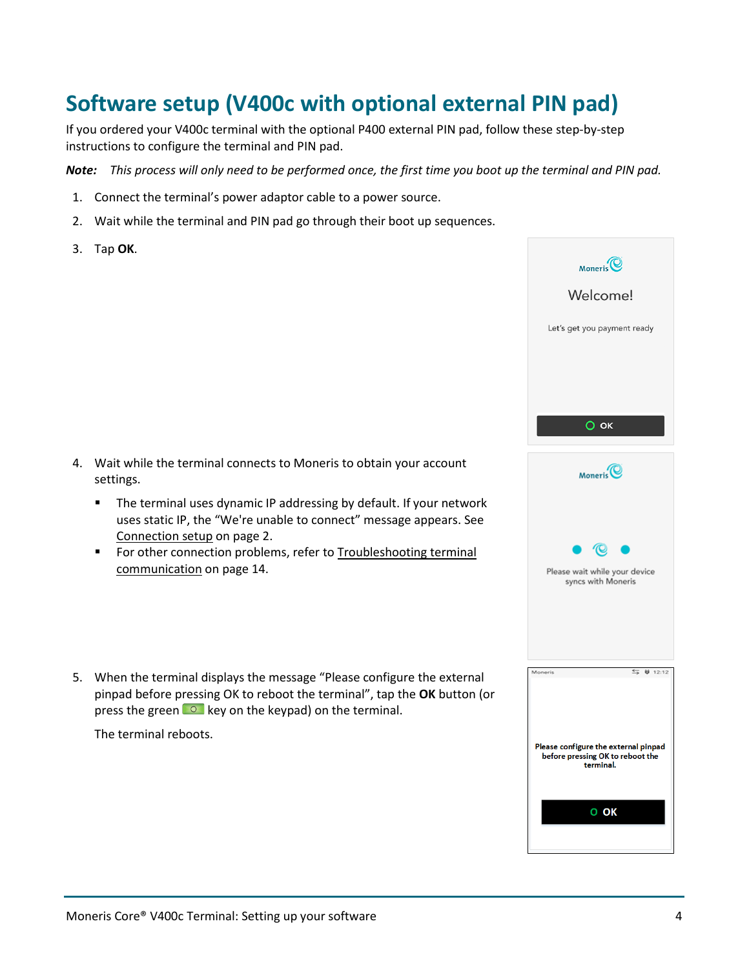# <span id="page-4-0"></span>**Software setup (V400c with optional external PIN pad)**

If you ordered your V400c terminal with the optional P400 external PIN pad, follow these step-by-step instructions to configure the terminal and PIN pad.

*Note: This process will only need to be performed once, the first time you boot up the terminal and PIN pad.* 

- 1. Connect the terminal's power adaptor cable to a power source.
- 2. Wait while the terminal and PIN pad go through their boot up sequences.
- 3. Tap **OK**.



- **The terminal uses dynamic IP addressing by default. If your network** uses static IP, the "We're unable to connect" message appears. See [Connection setup](#page-2-1) on pag[e 2.](#page-2-1)
- **F** For other connection problems, refer to Troubleshooting terminal [communication](#page-14-0) on page [14.](#page-14-0)
- 5. When the terminal displays the message "Please configure the external pinpad before pressing OK to reboot the terminal", tap the **OK** button (or press the green  $\circ$  key on the keypad) on the terminal.

The terminal reboots.

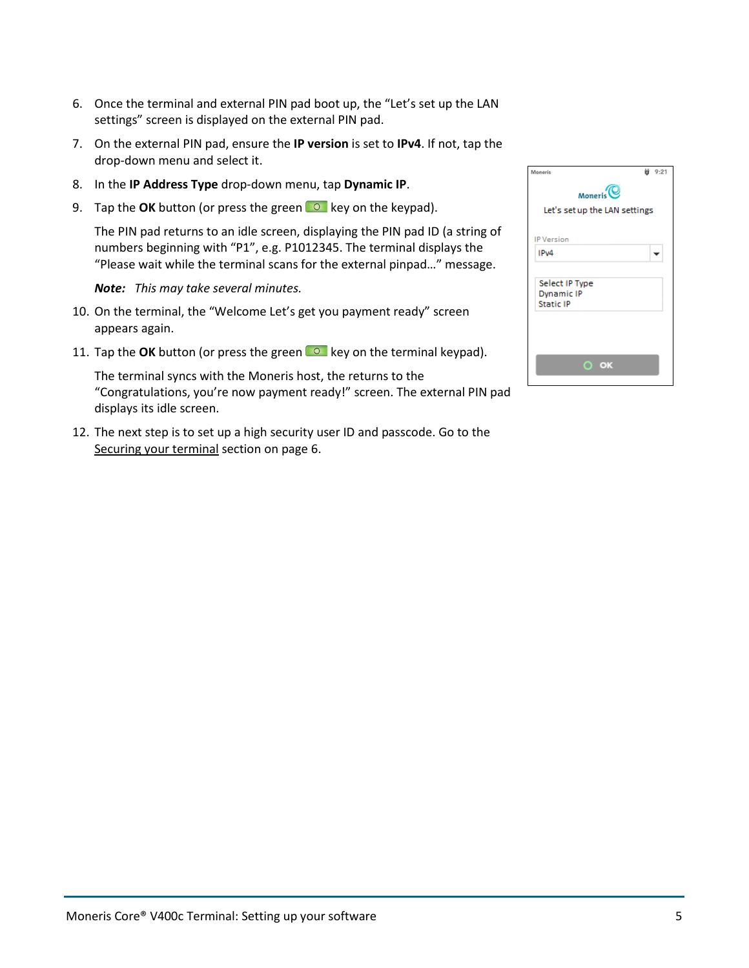- 6. Once the terminal and external PIN pad boot up, the "Let's set up the LAN settings" screen is displayed on the external PIN pad.
- 7. On the external PIN pad, ensure the **IP version** is set to **IPv4**. If not, tap the drop-down menu and select it.
- 8. In the **IP Address Type** drop-down menu, tap **Dynamic IP**.
- 9. Tap the **OK** button (or press the green **C** key on the keypad).

The PIN pad returns to an idle screen, displaying the PIN pad ID (a string of numbers beginning with "P1", e.g. P1012345. The terminal displays the "Please wait while the terminal scans for the external pinpad…" message.

#### *Note: This may take several minutes.*

- 10. On the terminal, the "Welcome Let's get you payment ready" screen appears again.
- 11. Tap the OK button (or press the green **O**key on the terminal keypad).

The terminal syncs with the Moneris host, the returns to the "Congratulations, you're now payment ready!" screen. The external PIN pad displays its idle screen.

12. The next step is to set up a high security user ID and passcode. Go to the [Securing your terminal](#page-4-0) section on page [6.](#page-6-0)

| Moneris                                                 | @ 9:21 |
|---------------------------------------------------------|--------|
| Moneris                                                 |        |
| Let's set up the LAN settings                           |        |
|                                                         |        |
| <b>IP Version</b>                                       |        |
| IP <sub>v4</sub>                                        |        |
| Select IP Type<br><b>Dynamic IP</b><br><b>Static IP</b> |        |
|                                                         |        |
| OK<br>O                                                 |        |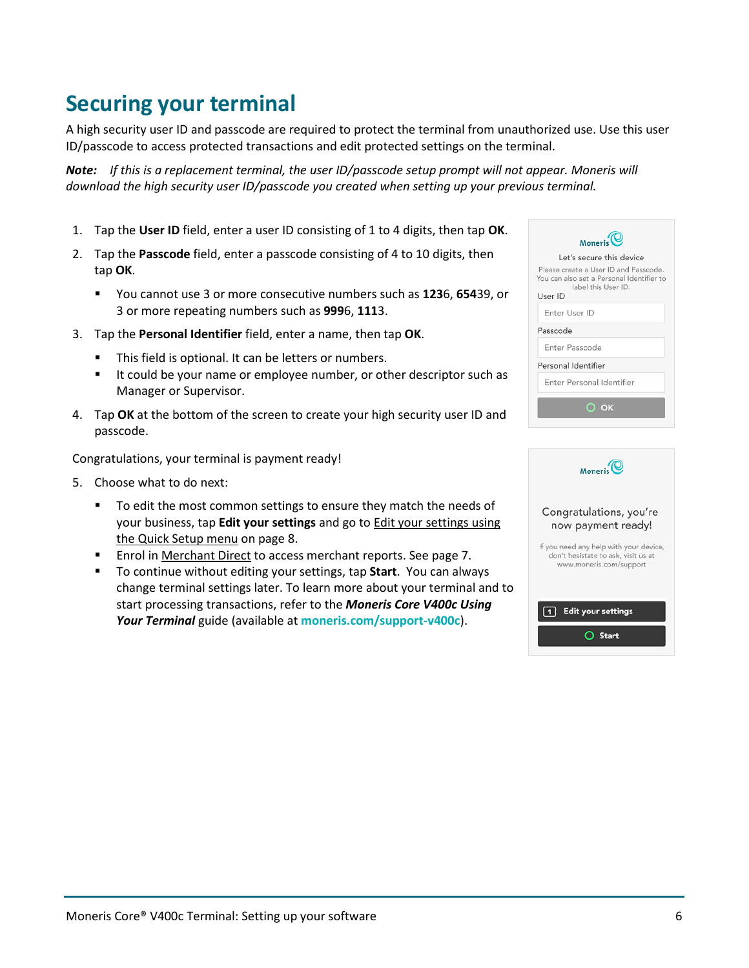### Moneris Core® V400c Terminal: Setting up your software 6 and 6 and 6 and 6 and 6 and 6 and 6 and 6 and 6 and 6  $6$

## <span id="page-6-0"></span>**Securing your terminal**

A high security user ID and passcode are required to protect the terminal from unauthorized use. Use this user ID/passcode to access protected transactions and edit protected settings on the terminal.

*Note: If this is a replacement terminal, the user ID/passcode setup prompt will not appear. Moneris will download the high security user ID/passcode you created when setting up your previous terminal.* 

- 1. Tap the **User ID** field, enter a user ID consisting of 1 to 4 digits, then tap **OK**.
- 2. Tap the **Passcode** field, enter a passcode consisting of 4 to 10 digits, then tap **OK**.
	- You cannot use 3 or more consecutive numbers such as **123**6, **654**39, or 3 or more repeating numbers such as **999**6, **111**3.
- 3. Tap the **Personal Identifier** field, enter a name, then tap **OK**.
	- This field is optional. It can be letters or numbers.
	- If could be your name or employee number, or other descriptor such as Manager or Supervisor.
- 4. Tap **OK** at the bottom of the screen to create your high security user ID and passcode.

Congratulations, your terminal is payment ready!

- 5. Choose what to do next:
	- To edit the most common settings to ensure they match the needs of your business, tap **Edit your settings** and go t[o Edit your settings using](#page-8-0)  [the Quick Setup menu](#page-8-0) on page [8.](#page-8-0)
	- **Enrol in [Merchant Direct](#page-7-0) to access merchant reports. See page [7.](#page-7-0)**
	- To continue without editing your settings, tap **Start**. You can always change terminal settings later. To learn more about your terminal and to start processing transactions, refer to the *Moneris Core V400c Using Your Terminal* guide (available at **[moneris.com/support-v400c](http://www.moneris.com/support-v400c)**).

| Moneris <sup>(C)</sup>                                                                                               |
|----------------------------------------------------------------------------------------------------------------------|
| Let's secure this device                                                                                             |
| Please create a User ID and Passcode.<br>You can also set a Personal Identifier to<br>label this User ID.<br>User ID |
| Enter User ID                                                                                                        |
| Passcode                                                                                                             |
| Enter Passcode                                                                                                       |
| Personal Identifier                                                                                                  |
| Enter Personal Identifier                                                                                            |
| $\odot$ K                                                                                                            |
|                                                                                                                      |

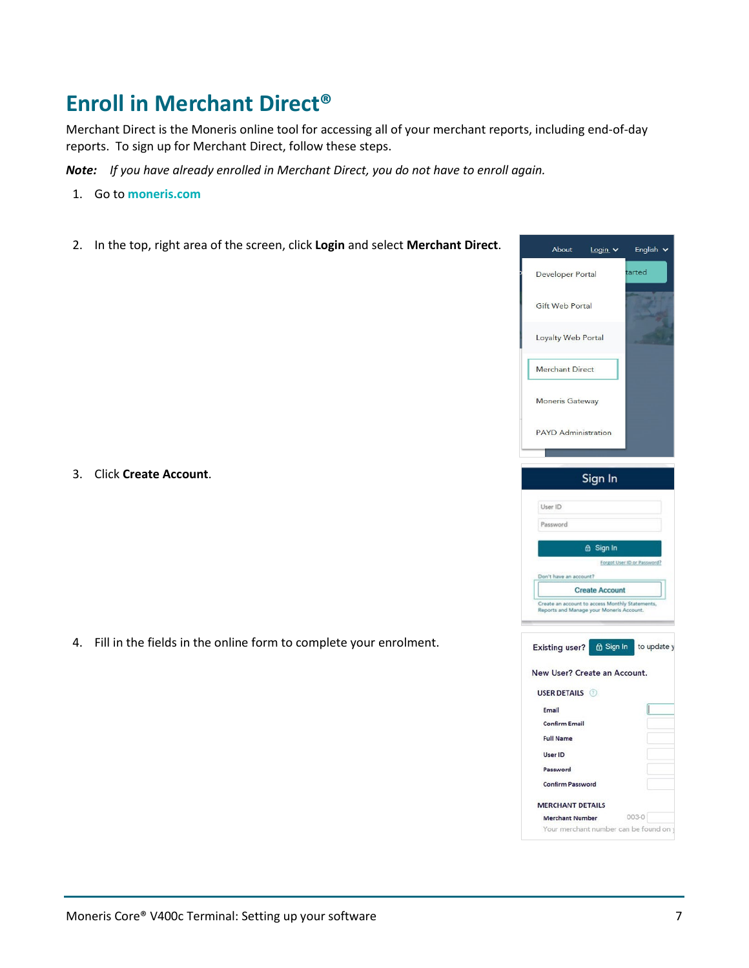# <span id="page-7-0"></span>**Enroll in Merchant Direct®**

Merchant Direct is the Moneris online tool for accessing all of your merchant reports, including end-of-day reports. To sign up for Merchant Direct, follow these steps.

*Note: If you have already enrolled in Merchant Direct, you do not have to enroll again.* 

- 1. Go to **[moneris.com](https://www.moneris.com/)**
- 2. In the top, right area of the screen, click **Login** and select **Merchant Direct**.

3. Click **Create Account**.

4. Fill in the fields in the online form to complete your enrolment.

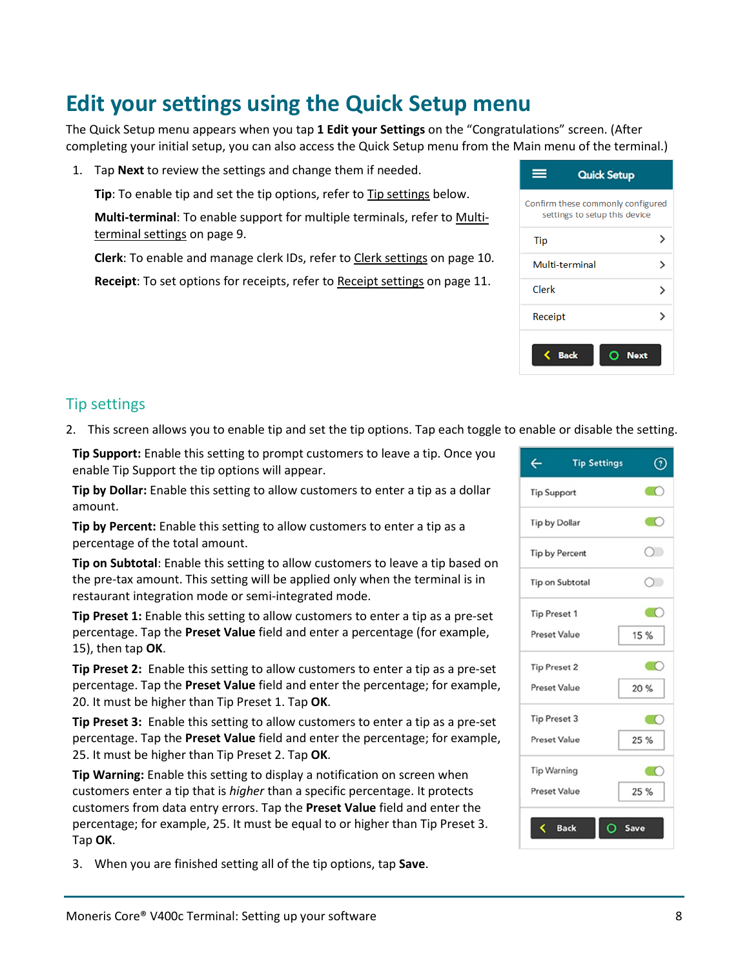# <span id="page-8-0"></span>**Edit your settings using the Quick Setup menu**

The Quick Setup menu appears when you tap **1 Edit your Settings** on the "Congratulations" screen. (After completing your initial setup, you can also access the Quick Setup menu from the Main menu of the terminal.)

1. Tap **Next** to review the settings and change them if needed.

**Tip**: To enable tip and set the tip options, refer to [Tip settings](#page-8-1) below.

**Multi-terminal**: To enable support for multiple terminals, refer t[o Multi](#page-9-0)[terminal settings](#page-9-0) on page [9.](#page-9-0)

**Clerk**: To enable and manage clerk IDs, refer to [Clerk settings](#page-10-0) on page [10.](#page-9-1)

**Receipt**: To set options for receipts, refer t[o Receipt settings](#page-11-0) on page [11.](#page-11-0)

#### <span id="page-8-1"></span>Tip settings

2. This screen allows you to enable tip and set the tip options. Tap each toggle to enable or disable the setting.

**Tip Support:** Enable this setting to prompt customers to leave a tip. Once you enable Tip Support the tip options will appear.

**Tip by Dollar:** Enable this setting to allow customers to enter a tip as a dollar amount.

**Tip by Percent:** Enable this setting to allow customers to enter a tip as a percentage of the total amount.

**Tip on Subtotal**: Enable this setting to allow customers to leave a tip based on the pre-tax amount. This setting will be applied only when the terminal is in restaurant integration mode or semi-integrated mode.

**Tip Preset 1:** Enable this setting to allow customers to enter a tip as a pre-set percentage. Tap the **Preset Value** field and enter a percentage (for example, 15), then tap **OK**.

**Tip Preset 2:** Enable this setting to allow customers to enter a tip as a pre-set percentage. Tap the **Preset Value** field and enter the percentage; for example, 20. It must be higher than Tip Preset 1. Tap **OK**.

**Tip Preset 3:** Enable this setting to allow customers to enter a tip as a pre-set percentage. Tap the **Preset Value** field and enter the percentage; for example, 25. It must be higher than Tip Preset 2. Tap **OK**.

**Tip Warning:** Enable this setting to display a notification on screen when customers enter a tip that is *higher* than a specific percentage. It protects customers from data entry errors. Tap the **Preset Value** field and enter the percentage; for example, 25. It must be equal to or higher than Tip Preset 3. Tap **OK**.

3. When you are finished setting all of the tip options, tap **Save**.



| <b>Quick Setup</b>                                                 |             |
|--------------------------------------------------------------------|-------------|
| Confirm these commonly configured<br>settings to setup this device |             |
| Tip                                                                |             |
| Multi-terminal                                                     |             |
| Clerk                                                              |             |
| Receipt                                                            |             |
| Back                                                               | <b>Next</b> |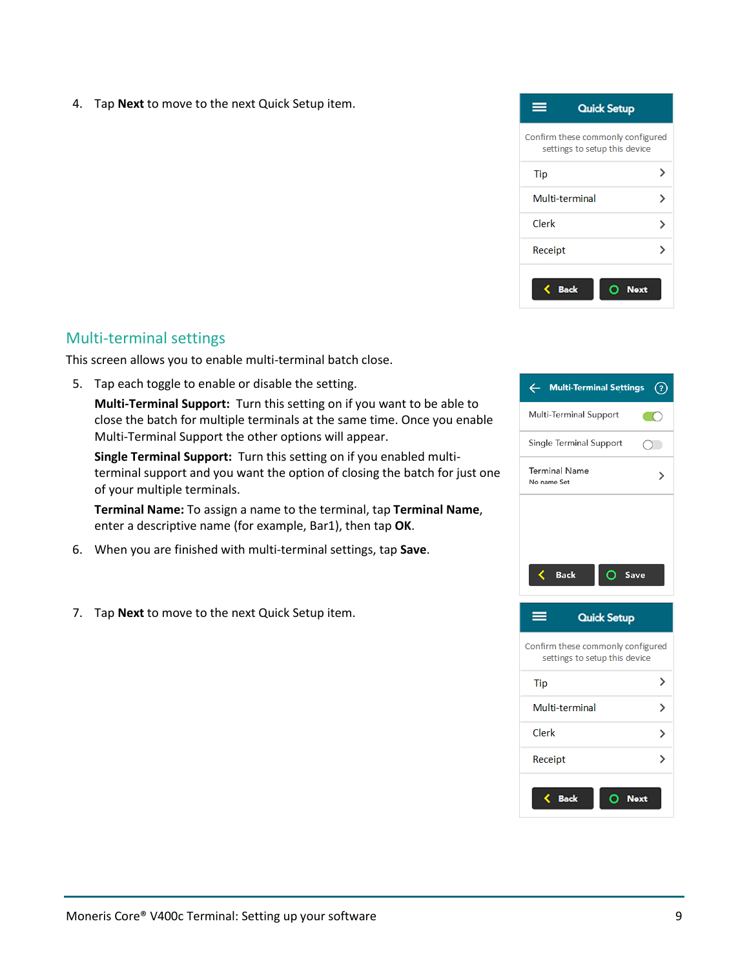4. Tap **Next** to move to the next Quick Setup item.



#### <span id="page-9-0"></span>Multi-terminal settings

This screen allows you to enable multi-terminal batch close.

5. Tap each toggle to enable or disable the setting.

**Multi-Terminal Support:** Turn this setting on if you want to be able to close the batch for multiple terminals at the same time. Once you enable Multi-Terminal Support the other options will appear.

**Single Terminal Support:** Turn this setting on if you enabled multiterminal support and you want the option of closing the batch for just one of your multiple terminals.

**Terminal Name:** To assign a name to the terminal, tap **Terminal Name**, enter a descriptive name (for example, Bar1), then tap **OK**.

- 6. When you are finished with multi-terminal settings, tap **Save**.
- <span id="page-9-1"></span>7. Tap **Next** to move to the next Quick Setup item.



| Confirm these commonly configured<br>settings to setup this device |  |
|--------------------------------------------------------------------|--|
| Tip                                                                |  |
| Multi-terminal                                                     |  |
| Clerk                                                              |  |
| Receipt                                                            |  |
| <b>Next</b><br><b>Back</b>                                         |  |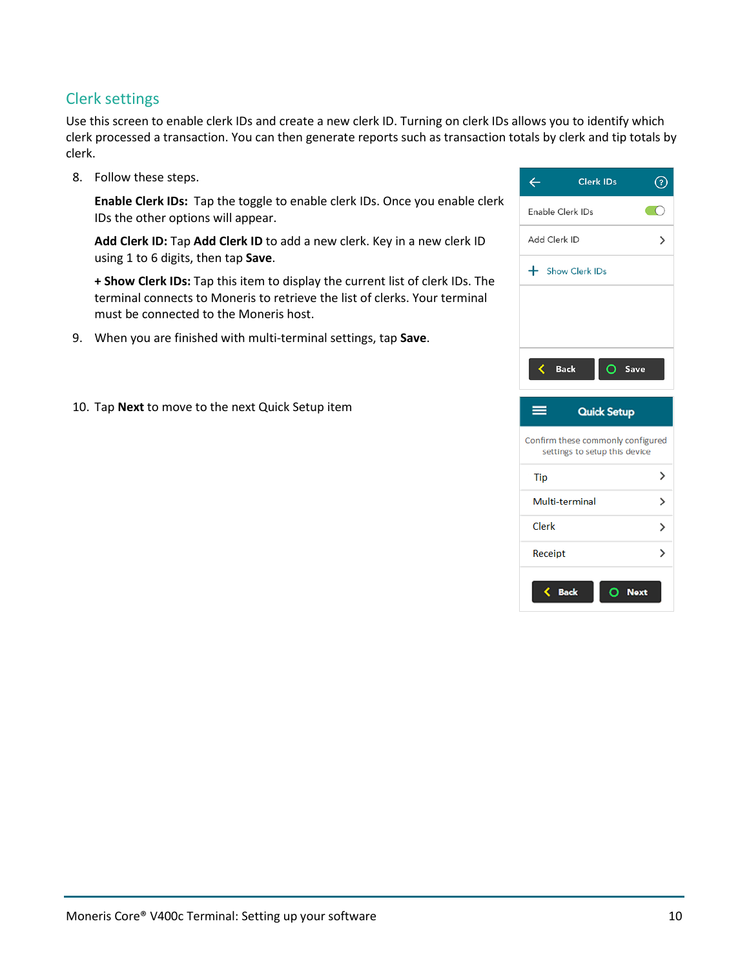#### <span id="page-10-0"></span>Clerk settings

Use this screen to enable clerk IDs and create a new clerk ID. Turning on clerk IDs allows you to identify which clerk processed a transaction. You can then generate reports such as transaction totals by clerk and tip totals by clerk.

8. Follow these steps.

**Enable Clerk IDs:** Tap the toggle to enable clerk IDs. Once you enable clerk IDs the other options will appear.

**Add Clerk ID:** Tap **Add Clerk ID** to add a new clerk. Key in a new clerk ID using 1 to 6 digits, then tap **Save**.

**+ Show Clerk IDs:** Tap this item to display the current list of clerk IDs. The terminal connects to Moneris to retrieve the list of clerks. Your terminal must be connected to the Moneris host.

- 9. When you are finished with multi-terminal settings, tap **Save**.
- 10. Tap **Next** to move to the next Quick Setup item

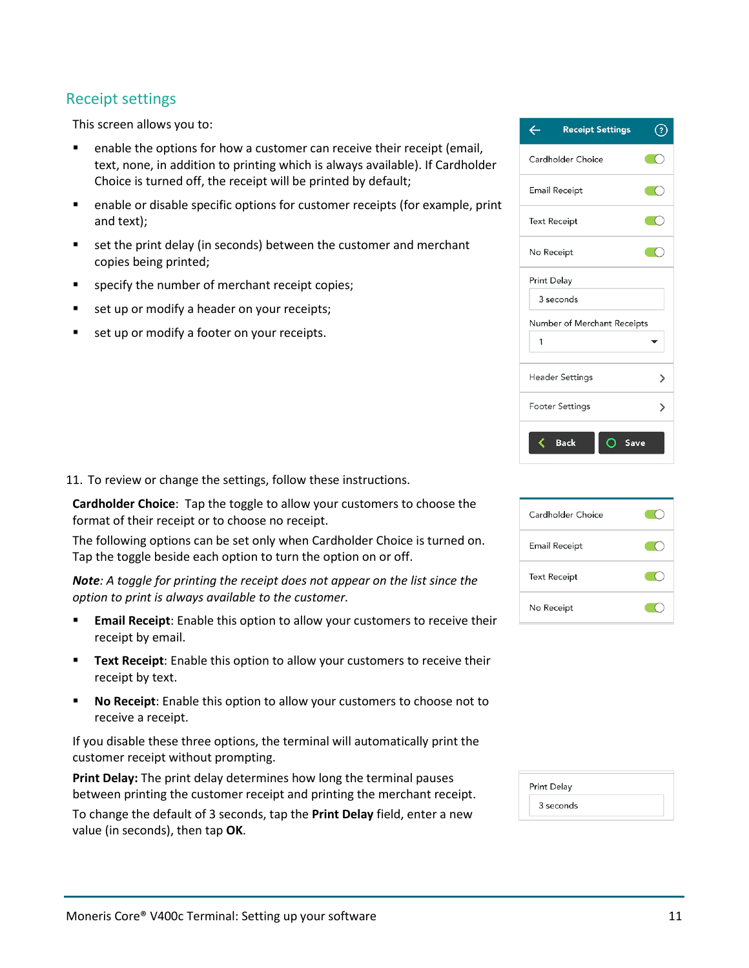#### <span id="page-11-0"></span>Receipt settings

This screen allows you to:

- **EXECT** enable the options for how a customer can receive their receipt (email, text, none, in addition to printing which is always available). If Cardholder Choice is turned off, the receipt will be printed by default;
- enable or disable specific options for customer receipts (for example, print and text);
- set the print delay (in seconds) between the customer and merchant copies being printed;
- **specify the number of merchant receipt copies;**
- set up or modify a header on your receipts;
- set up or modify a footer on your receipts.

11. To review or change the settings, follow these instructions.

**Cardholder Choice**: Tap the toggle to allow your customers to choose the format of their receipt or to choose no receipt.

The following options can be set only when Cardholder Choice is turned on. Tap the toggle beside each option to turn the option on or off.

*Note: A toggle for printing the receipt does not appear on the list since the option to print is always available to the customer.*

- **Email Receipt:** Enable this option to allow your customers to receive their receipt by email.
- **Text Receipt:** Enable this option to allow your customers to receive their receipt by text.
- **No Receipt**: Enable this option to allow your customers to choose not to receive a receipt.

If you disable these three options, the terminal will automatically print the customer receipt without prompting.

**Print Delay:** The print delay determines how long the terminal pauses between printing the customer receipt and printing the merchant receipt.

To change the default of 3 seconds, tap the **Print Delay** field, enter a new value (in seconds), then tap **OK**.

| <b>Receipt Settings</b>     |   |
|-----------------------------|---|
| Cardholder Choice           |   |
| Email Receipt               |   |
| <b>Text Receipt</b>         |   |
| No Receipt                  |   |
| Print Delay                 |   |
| 3 seconds                   |   |
| Number of Merchant Receipts |   |
| 1                           |   |
| <b>Header Settings</b>      | ゝ |
| Footer Settings             |   |
| <b>Back</b><br>Save         |   |



| Print Delay |  |
|-------------|--|
| 3 seconds   |  |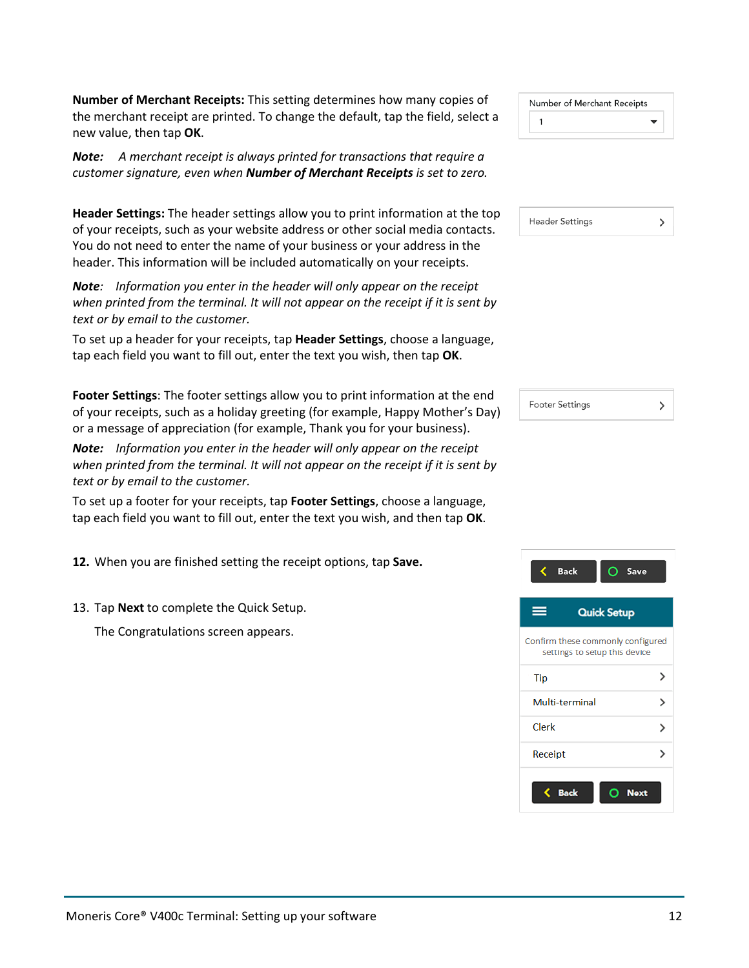**Number of Merchant Receipts:** This setting determines how many copies of the merchant receipt are printed. To change the default, tap the field, select a new value, then tap **OK**.

*Note: A merchant receipt is always printed for transactions that require a customer signature, even when Number of Merchant Receipts is set to zero.*

**Header Settings:** The header settings allow you to print information at the top of your receipts, such as your website address or other social media contacts. You do not need to enter the name of your business or your address in the header. This information will be included automatically on your receipts.

*Note: Information you enter in the header will only appear on the receipt when printed from the terminal. It will not appear on the receipt if it is sent by text or by email to the customer.*

To set up a header for your receipts, tap **Header Settings**, choose a language, tap each field you want to fill out, enter the text you wish, then tap **OK**.

**Footer Settings**: The footer settings allow you to print information at the end of your receipts, such as a holiday greeting (for example, Happy Mother's Day) or a message of appreciation (for example, Thank you for your business).

*Note: Information you enter in the header will only appear on the receipt when printed from the terminal. It will not appear on the receipt if it is sent by text or by email to the customer.*

To set up a footer for your receipts, tap **Footer Settings**, choose a language, tap each field you want to fill out, enter the text you wish, and then tap **OK**.

**12.** When you are finished setting the receipt options, tap **Save.**

13. Tap **Next** to complete the Quick Setup.

The Congratulations screen appears.

| Number of Merchant Receipts |  |
|-----------------------------|--|
|                             |  |

| <b>Header Settings</b> |  |
|------------------------|--|
|                        |  |

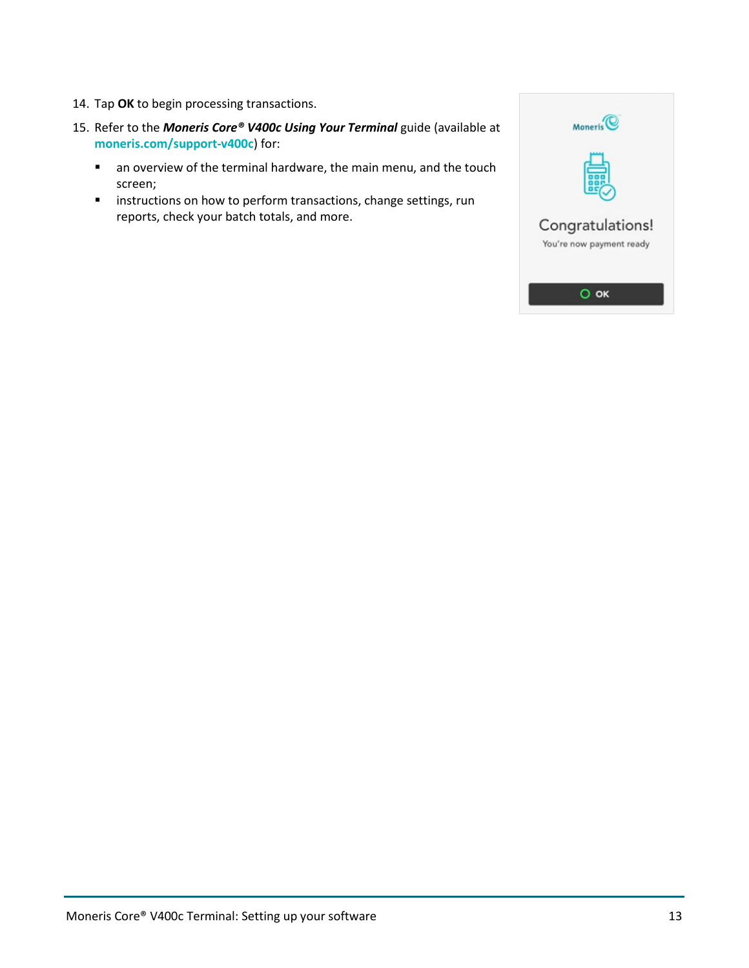- 14. Tap **OK** to begin processing transactions.
- 15. Refer to the *Moneris Core® V400c Using Your Terminal* guide (available at **[moneris.com/support-v400c](http://www.moneris.com/support-v400c)**) for:
	- an overview of the terminal hardware, the main menu, and the touch screen;
	- **EXEDENT INSTERS IN A HOMOGET THE INCORDER** instructions on how to perform transactions, change settings, run reports, check your batch totals, and more.

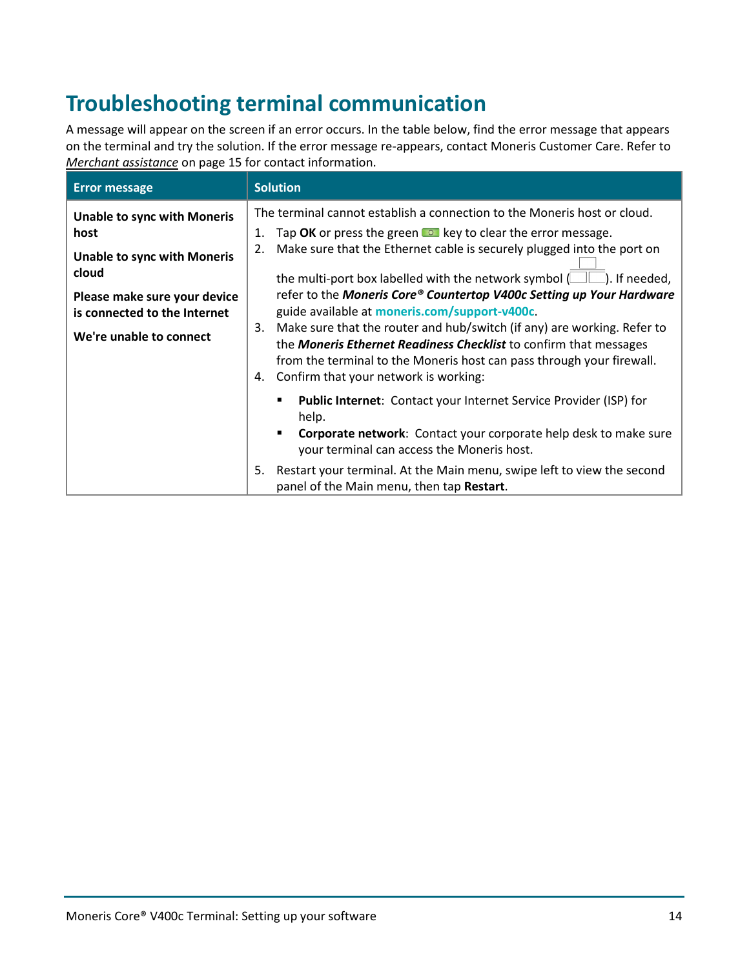# <span id="page-14-0"></span>**Troubleshooting terminal communication**

A message will appear on the screen if an error occurs. In the table below, find the error message that appears on the terminal and try the solution. If the error message re-appears, contact Moneris Customer Care. Refer to *[Merchant assistance](#page-15-0)* on page [15](#page-15-0) for contact information.

| <b>Error message</b>                                                                                                                                                                 | <b>Solution</b>                                                                                                                                                                                                                                                                                                                                                                                                                                                                                                                                                                                                                                                                                                                       |
|--------------------------------------------------------------------------------------------------------------------------------------------------------------------------------------|---------------------------------------------------------------------------------------------------------------------------------------------------------------------------------------------------------------------------------------------------------------------------------------------------------------------------------------------------------------------------------------------------------------------------------------------------------------------------------------------------------------------------------------------------------------------------------------------------------------------------------------------------------------------------------------------------------------------------------------|
| <b>Unable to sync with Moneris</b><br>host<br><b>Unable to sync with Moneris</b><br>cloud<br>Please make sure your device<br>is connected to the Internet<br>We're unable to connect | The terminal cannot establish a connection to the Moneris host or cloud.<br>Tap OK or press the green $\bullet\bullet$ key to clear the error message.<br>1.<br>Make sure that the Ethernet cable is securely plugged into the port on<br>2.<br>the multi-port box labelled with the network symbol $(\Box \Box)$ . If needed,<br>refer to the Moneris Core® Countertop V400c Setting up Your Hardware<br>guide available at moneris.com/support-v400c.<br>Make sure that the router and hub/switch (if any) are working. Refer to<br>3.<br>the Moneris Ethernet Readiness Checklist to confirm that messages<br>from the terminal to the Moneris host can pass through your firewall.<br>Confirm that your network is working:<br>4. |
|                                                                                                                                                                                      | Public Internet: Contact your Internet Service Provider (ISP) for<br>help.<br><b>Corporate network:</b> Contact your corporate help desk to make sure<br>your terminal can access the Moneris host.<br>Restart your terminal. At the Main menu, swipe left to view the second<br>5.<br>panel of the Main menu, then tap Restart.                                                                                                                                                                                                                                                                                                                                                                                                      |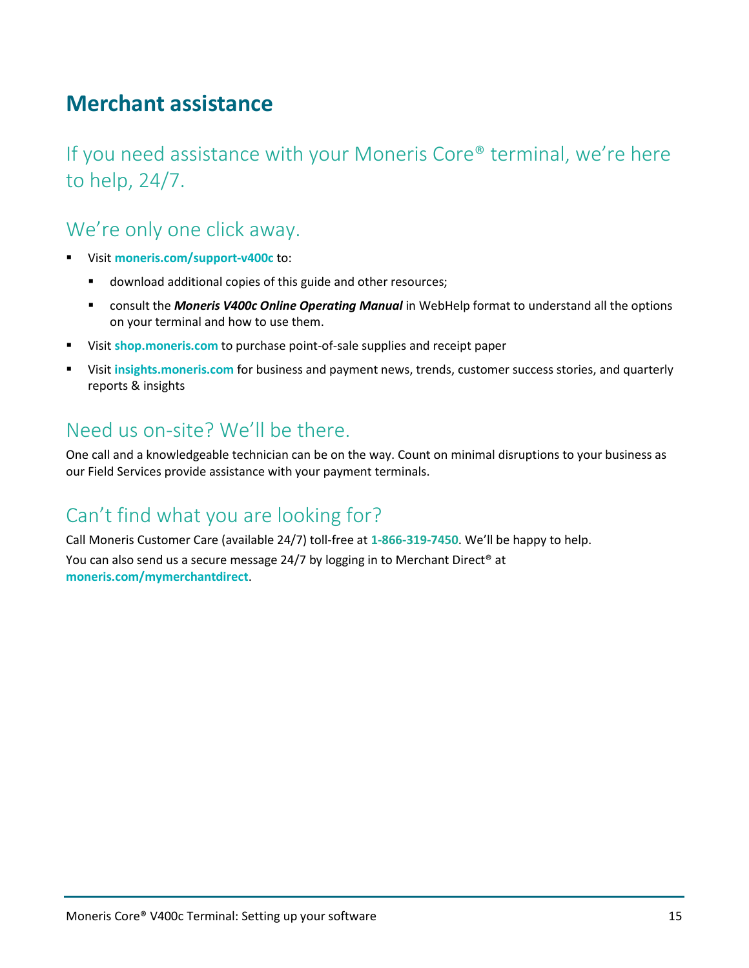# <span id="page-15-0"></span>**Merchant assistance**

If you need assistance with your Moneris Core® terminal, we're here to help, 24/7.

## We're only one click away.

- Visit **[moneris.com/support-v400c](http://www.moneris.com/support-v400c)** to:
	- **download additional copies of this guide and other resources;**
	- consult the *Moneris V400c Online Operating Manual* in WebHelp format to understand all the options on your terminal and how to use them.
- Visit **[shop.moneris.com](https://shop.moneris.com/)** to purchase point-of-sale supplies and receipt paper
- Visit **[insights.moneris.com](https://insights.moneris.com/)** for business and payment news, trends, customer success stories, and quarterly reports & insights

## Need us on-site? We'll be there.

One call and a knowledgeable technician can be on the way. Count on minimal disruptions to your business as our Field Services provide assistance with your payment terminals.

## Can't find what you are looking for?

Call Moneris Customer Care (available 24/7) toll-free at **1-866-319-7450**. We'll be happy to help. You can also send us a secure message 24/7 by logging in to Merchant Direct® at **[moneris.com/mymerchantdirect](https://moneris.com/mymerchantdirect)**.